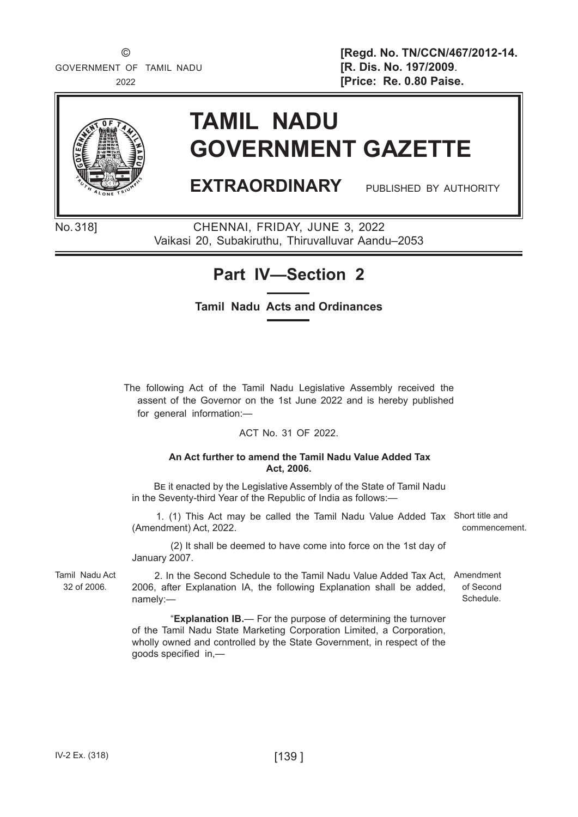© **[Regd. No. TN/CCN/467/2012-14.** 2022 **[Price: Re. 0.80 Paise.**



# **TAMIL NADU GOVERNMENT GAZETTE**

# **EXTRAORDINARY** PUBLISHED BY AUTHORITY

of Second Schedule.

No.318] CHENNAI, FRIDAY, JUNE 3, 2022 Vaikasi 20, Subakiruthu, Thiruvalluvar Aandu–2053

## **Part IV—Section 2**

### **Tamil Nadu Acts and Ordinances**

The following Act of the Tamil Nadu Legislative Assembly received the assent of the Governor on the 1st June 2022 and is hereby published for general information:—

### ACT No. 31 OF 2022.

#### **An Act further to amend the Tamil Nadu Value Added Tax Act, 2006.**

Be it enacted by the Legislative Assembly of the State of Tamil Nadu in the Seventy-third Year of the Republic of India as follows:—

 1. (1) This Act may be called the Tamil Nadu Value Added Tax Short title and (Amendment) Act, 2022. commencement.

(2) It shall be deemed to have come into force on the 1st day of January 2007.

Tamil Nadu Act 32 of 2006*.*

 2. In the Second Schedule to the Tamil Nadu Value Added Tax Act, Amendment 2006, after Explanation IA, the following Explanation shall be added, namely:—

"**Explanation IB.**— For the purpose of determining the turnover of the Tamil Nadu State Marketing Corporation Limited, a Corporation, wholly owned and controlled by the State Government, in respect of the goods specified in,—